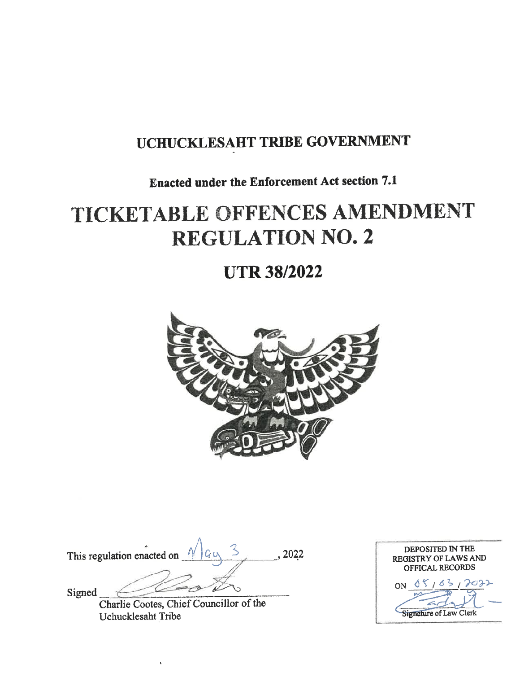# UCHUCKLESAHT TRIBE GOVERNMENT

## Enacted under the Enforcement Act section 7.1

# TICKETABLE OFFENCES AMENDMENT REGULATION NO. 2

UTR 38/2022



This regulation enacted on <u>1</u>  $\frac{1}{\sqrt{\frac{2}{3}}}$  $\mathbb{Z}^{\searrow}$ ,, 2022

Signed

Charlie Cootes, Chief Councillor of the Uchucklesaht Tribe

 $\ddot{\phantom{a}}$ 

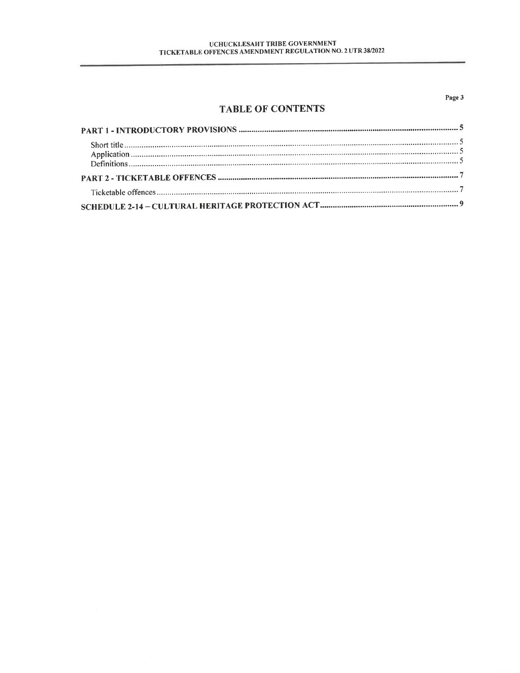#### TABLE OF CONTENTS

| $\overline{\text{Definition}}$ |  |
|--------------------------------|--|
|                                |  |
|                                |  |
|                                |  |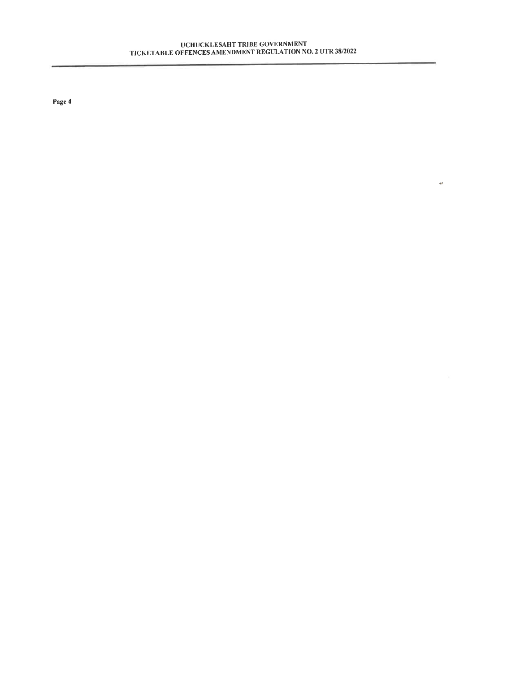$\approx$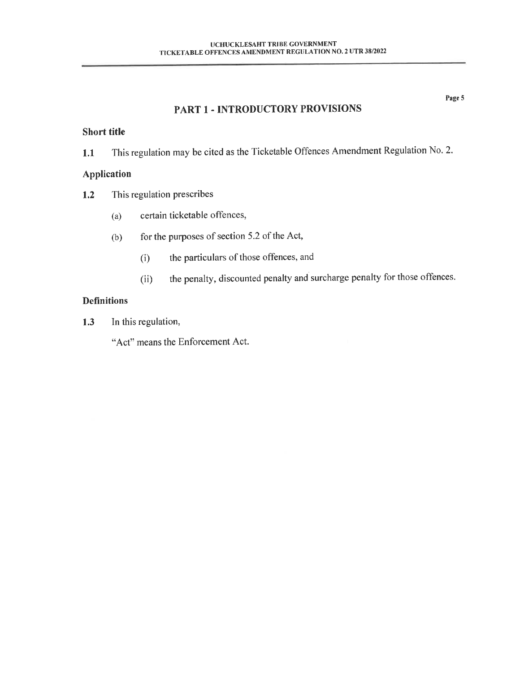#### PART 1 - INTRODUCTORY PROVISIONS

#### Page 5

#### Short title

1.1 This regulation may be cited as the Ticketable Offences Amendment Regulation No. 2.

#### Application

- 1.2 This regulation prescribes
	- (a) certain ticketable offences,
	- (b) for the purposes of section  $5.2$  of the Act,
		- (i) the particulars of those offences, and
		- (ii) the penalty, discounted penalty and surcharge penalty for those offences.

#### **Definitions**

1.3 In this regulation,

"Act" means the Enforcement Act.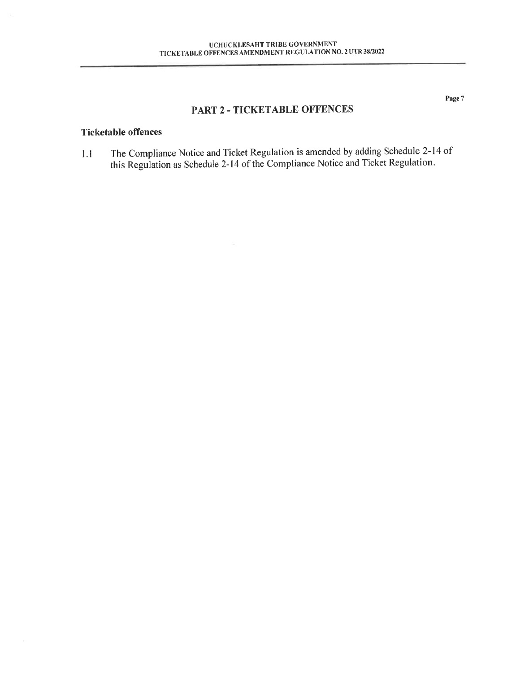Page?

### PART 2 - TICKETABLE OFFENCES

#### Ticketable offences

The Compliance Notice and Ticket Regulation is amended by adding Schedule 2-14 of  $1.1$ this Regulation as Schedule 2-14 of the Compliance Notice and Ticket Regulation.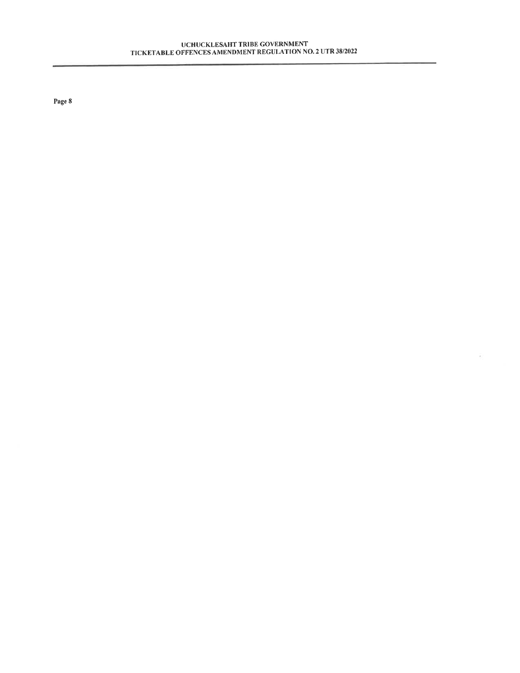$\tilde{\Sigma}$